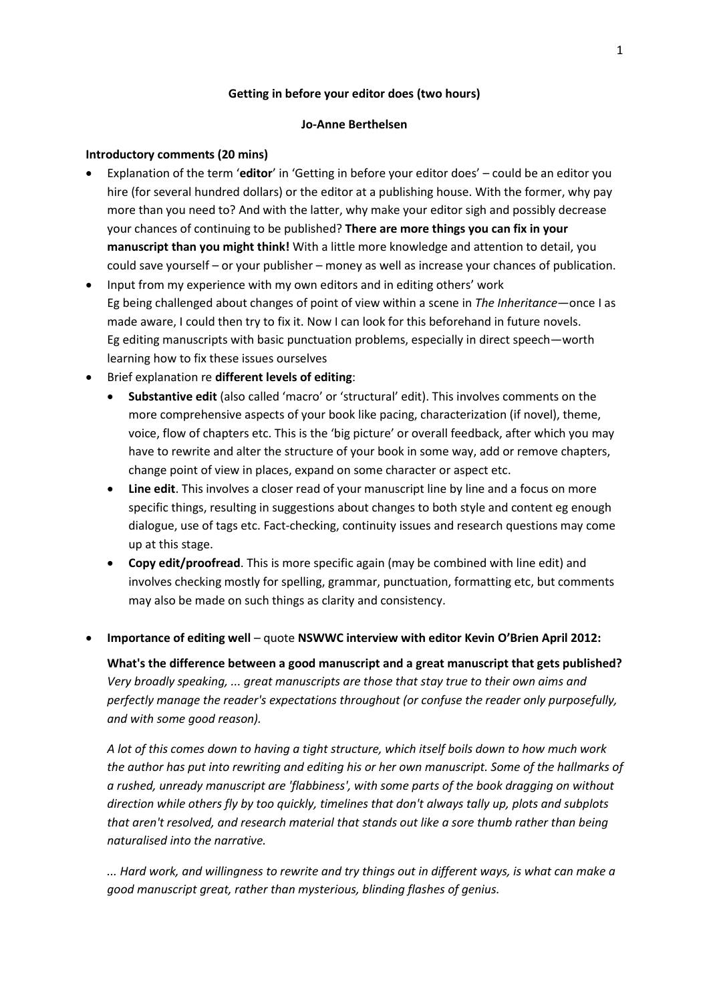## **Getting in before your editor does (two hours)**

## **Jo-Anne Berthelsen**

## **Introductory comments (20 mins)**

- Explanation of the term '**editor**' in 'Getting in before your editor does' could be an editor you hire (for several hundred dollars) or the editor at a publishing house. With the former, why pay more than you need to? And with the latter, why make your editor sigh and possibly decrease your chances of continuing to be published? **There are more things you can fix in your manuscript than you might think!** With a little more knowledge and attention to detail, you could save yourself – or your publisher – money as well as increase your chances of publication.
- Input from my experience with my own editors and in editing others' work Eg being challenged about changes of point of view within a scene in *The Inheritance*—once I as made aware, I could then try to fix it. Now I can look for this beforehand in future novels. Eg editing manuscripts with basic punctuation problems, especially in direct speech—worth learning how to fix these issues ourselves
- Brief explanation re **different levels of editing**:
	- **Substantive edit** (also called 'macro' or 'structural' edit). This involves comments on the more comprehensive aspects of your book like pacing, characterization (if novel), theme, voice, flow of chapters etc. This is the 'big picture' or overall feedback, after which you may have to rewrite and alter the structure of your book in some way, add or remove chapters, change point of view in places, expand on some character or aspect etc.
	- **Line edit**. This involves a closer read of your manuscript line by line and a focus on more specific things, resulting in suggestions about changes to both style and content eg enough dialogue, use of tags etc. Fact-checking, continuity issues and research questions may come up at this stage.
	- **Copy edit/proofread**. This is more specific again (may be combined with line edit) and involves checking mostly for spelling, grammar, punctuation, formatting etc, but comments may also be made on such things as clarity and consistency.
- **Importance of editing well** quote **NSWWC interview with editor Kevin O'Brien April 2012:**

**What's the difference between a good manuscript and a great manuscript that gets published?** *Very broadly speaking, ... great manuscripts are those that stay true to their own aims and perfectly manage the reader's expectations throughout (or confuse the reader only purposefully, and with some good reason).*

*A lot of this comes down to having a tight structure, which itself boils down to how much work the author has put into rewriting and editing his or her own manuscript. Some of the hallmarks of a rushed, unready manuscript are 'flabbiness', with some parts of the book dragging on without direction while others fly by too quickly, timelines that don't always tally up, plots and subplots that aren't resolved, and research material that stands out like a sore thumb rather than being naturalised into the narrative.*

*... Hard work, and willingness to rewrite and try things out in different ways, is what can make a good manuscript great, rather than mysterious, blinding flashes of genius.*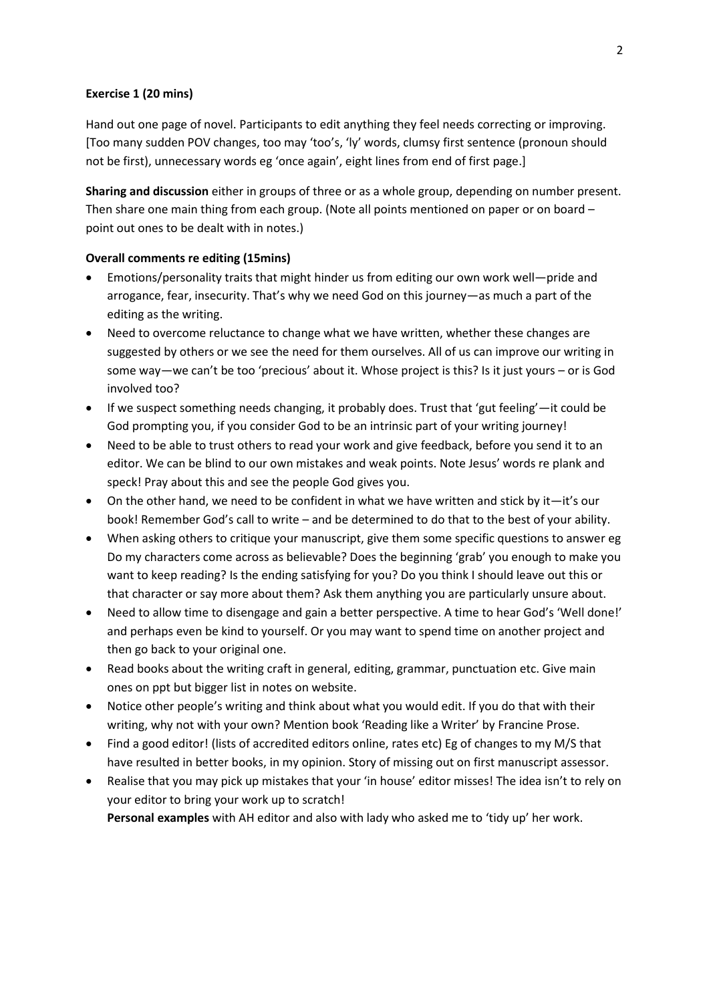### **Exercise 1 (20 mins)**

Hand out one page of novel. Participants to edit anything they feel needs correcting or improving. [Too many sudden POV changes, too may 'too's, 'ly' words, clumsy first sentence (pronoun should not be first), unnecessary words eg 'once again', eight lines from end of first page.]

**Sharing and discussion** either in groups of three or as a whole group, depending on number present. Then share one main thing from each group. (Note all points mentioned on paper or on board – point out ones to be dealt with in notes.)

#### **Overall comments re editing (15mins)**

- Emotions/personality traits that might hinder us from editing our own work well—pride and arrogance, fear, insecurity. That's why we need God on this journey—as much a part of the editing as the writing.
- Need to overcome reluctance to change what we have written, whether these changes are suggested by others or we see the need for them ourselves. All of us can improve our writing in some way—we can't be too 'precious' about it. Whose project is this? Is it just yours – or is God involved too?
- If we suspect something needs changing, it probably does. Trust that 'gut feeling'—it could be God prompting you, if you consider God to be an intrinsic part of your writing journey!
- Need to be able to trust others to read your work and give feedback, before you send it to an editor. We can be blind to our own mistakes and weak points. Note Jesus' words re plank and speck! Pray about this and see the people God gives you.
- On the other hand, we need to be confident in what we have written and stick by it—it's our book! Remember God's call to write – and be determined to do that to the best of your ability.
- When asking others to critique your manuscript, give them some specific questions to answer eg Do my characters come across as believable? Does the beginning 'grab' you enough to make you want to keep reading? Is the ending satisfying for you? Do you think I should leave out this or that character or say more about them? Ask them anything you are particularly unsure about.
- Need to allow time to disengage and gain a better perspective. A time to hear God's 'Well done!' and perhaps even be kind to yourself. Or you may want to spend time on another project and then go back to your original one.
- Read books about the writing craft in general, editing, grammar, punctuation etc. Give main ones on ppt but bigger list in notes on website.
- Notice other people's writing and think about what you would edit. If you do that with their writing, why not with your own? Mention book 'Reading like a Writer' by Francine Prose.
- Find a good editor! (lists of accredited editors online, rates etc) Eg of changes to my M/S that have resulted in better books, in my opinion. Story of missing out on first manuscript assessor.
- Realise that you may pick up mistakes that your 'in house' editor misses! The idea isn't to rely on your editor to bring your work up to scratch!

**Personal examples** with AH editor and also with lady who asked me to 'tidy up' her work.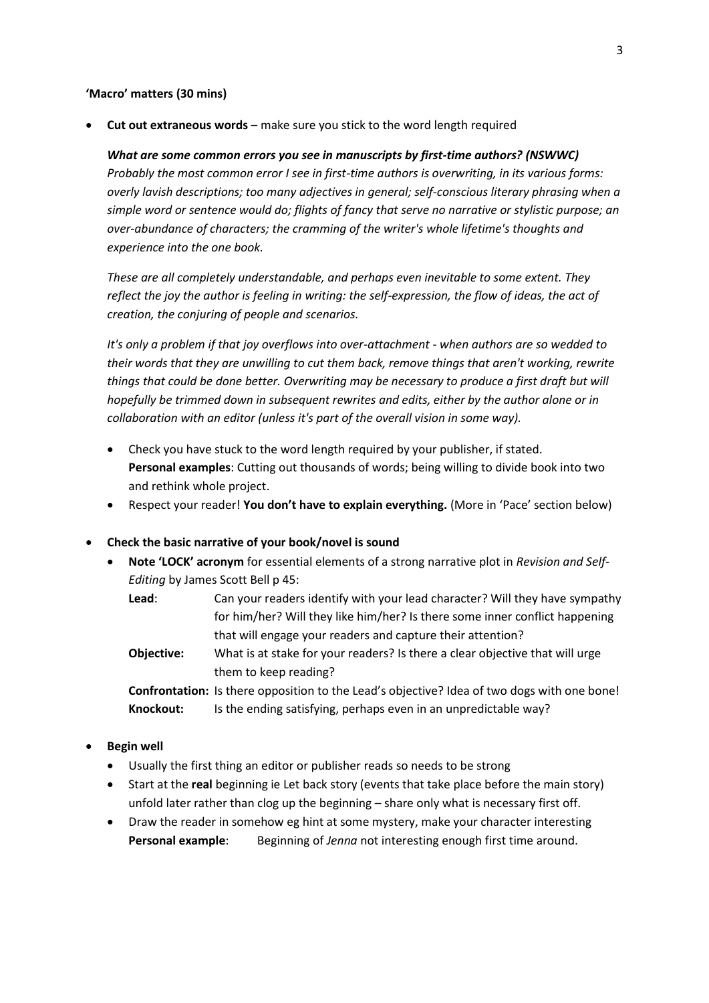## **'Macro' matters (30 mins)**

**Cut out extraneous words** – make sure you stick to the word length required

*What are some common errors you see in manuscripts by first-time authors? (NSWWC) Probably the most common error I see in first-time authors is overwriting, in its various forms: overly lavish descriptions; too many adjectives in general; self-conscious literary phrasing when a simple word or sentence would do; flights of fancy that serve no narrative or stylistic purpose; an over-abundance of characters; the cramming of the writer's whole lifetime's thoughts and experience into the one book.*

*These are all completely understandable, and perhaps even inevitable to some extent. They reflect the joy the author is feeling in writing: the self-expression, the flow of ideas, the act of creation, the conjuring of people and scenarios.*

*It's only a problem if that joy overflows into over-attachment - when authors are so wedded to their words that they are unwilling to cut them back, remove things that aren't working, rewrite things that could be done better. Overwriting may be necessary to produce a first draft but will hopefully be trimmed down in subsequent rewrites and edits, either by the author alone or in collaboration with an editor (unless it's part of the overall vision in some way).*

- Check you have stuck to the word length required by your publisher, if stated. **Personal examples**: Cutting out thousands of words; being willing to divide book into two and rethink whole project.
- Respect your reader! **You don't have to explain everything.** (More in 'Pace' section below)

## **Check the basic narrative of your book/novel is sound**

- **Note 'LOCK' acronym** for essential elements of a strong narrative plot in *Revision and Self-Editing* by James Scott Bell p 45:
	- **Lead**: Can your readers identify with your lead character? Will they have sympathy for him/her? Will they like him/her? Is there some inner conflict happening that will engage your readers and capture their attention?
	- **Objective:** What is at stake for your readers? Is there a clear objective that will urge them to keep reading?

**Confrontation:** Is there opposition to the Lead's objective? Idea of two dogs with one bone! **Knockout:** Is the ending satisfying, perhaps even in an unpredictable way?

- **•** Begin well
	- Usually the first thing an editor or publisher reads so needs to be strong
	- Start at the **real** beginning ie Let back story (events that take place before the main story) unfold later rather than clog up the beginning – share only what is necessary first off.
	- Draw the reader in somehow eg hint at some mystery, make your character interesting **Personal example:** Beginning of *Jenna* not interesting enough first time around.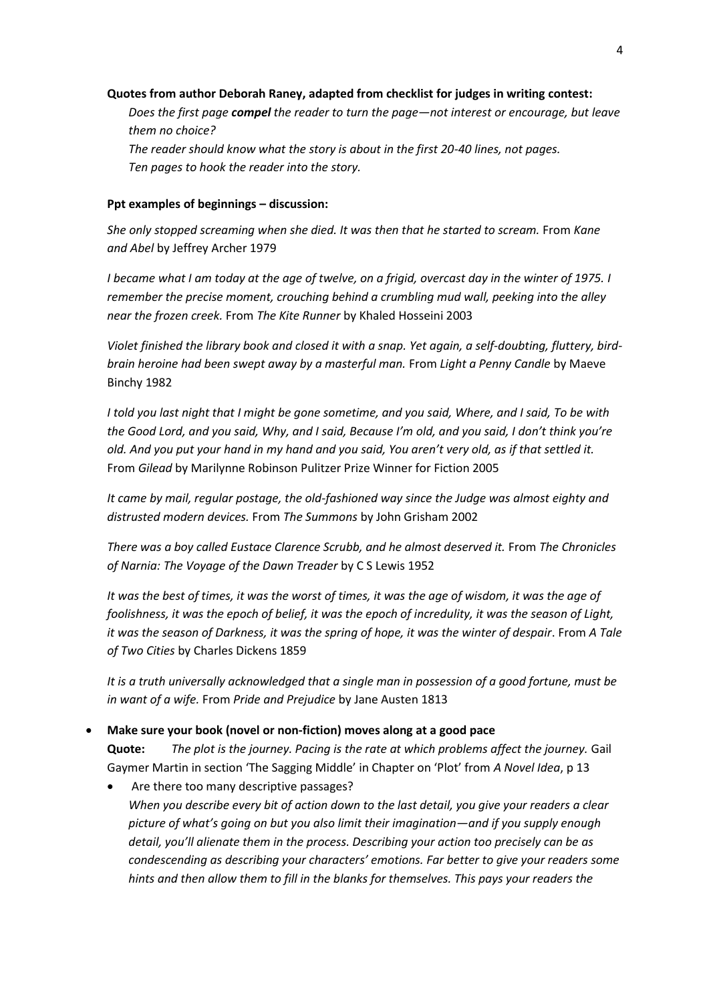#### **Quotes from author Deborah Raney, adapted from checklist for judges in writing contest:**

*Does the first page compel the reader to turn the page—not interest or encourage, but leave them no choice?*

*The reader should know what the story is about in the first 20-40 lines, not pages. Ten pages to hook the reader into the story.*

### **Ppt examples of beginnings – discussion:**

*She only stopped screaming when she died. It was then that he started to scream.* From *Kane and Abel* by Jeffrey Archer 1979

*I became what I am today at the age of twelve, on a frigid, overcast day in the winter of 1975. I remember the precise moment, crouching behind a crumbling mud wall, peeking into the alley near the frozen creek.* From *The Kite Runner* by Khaled Hosseini 2003

*Violet finished the library book and closed it with a snap. Yet again, a self-doubting, fluttery, birdbrain heroine had been swept away by a masterful man.* From *Light a Penny Candle* by Maeve Binchy 1982

*I told you last night that I might be gone sometime, and you said, Where, and I said, To be with the Good Lord, and you said, Why, and I said, Because I'm old, and you said, I don't think you're old. And you put your hand in my hand and you said, You aren't very old, as if that settled it.*  From *Gilead* by Marilynne Robinson Pulitzer Prize Winner for Fiction 2005

*It came by mail, regular postage, the old-fashioned way since the Judge was almost eighty and distrusted modern devices.* From *The Summons* by John Grisham 2002

*There was a boy called Eustace Clarence Scrubb, and he almost deserved it.* From *The Chronicles of Narnia: The Voyage of the Dawn Treader* by C S Lewis 1952

*It was the best of times, it was the worst of times, it was the age of wisdom, it was the age of foolishness, it was the epoch of belief, it was the epoch of incredulity, it was the season of Light, it was the season of Darkness, it was the spring of hope, it was the winter of despair*. From *A Tale of Two Cities* by Charles Dickens 1859

*It is a truth universally acknowledged that a single man in possession of a good fortune, must be in want of a wife.* From *Pride and Prejudice* by Jane Austen 1813

## **Make sure your book (novel or non-fiction) moves along at a good pace**

**Quote:** *The plot is the journey. Pacing is the rate at which problems affect the journey.* Gail Gaymer Martin in section 'The Sagging Middle' in Chapter on 'Plot' from *A Novel Idea*, p 13

 Are there too many descriptive passages? *When you describe every bit of action down to the last detail, you give your readers a clear picture of what's going on but you also limit their imagination—and if you supply enough detail, you'll alienate them in the process. Describing your action too precisely can be as condescending as describing your characters' emotions. Far better to give your readers some hints and then allow them to fill in the blanks for themselves. This pays your readers the*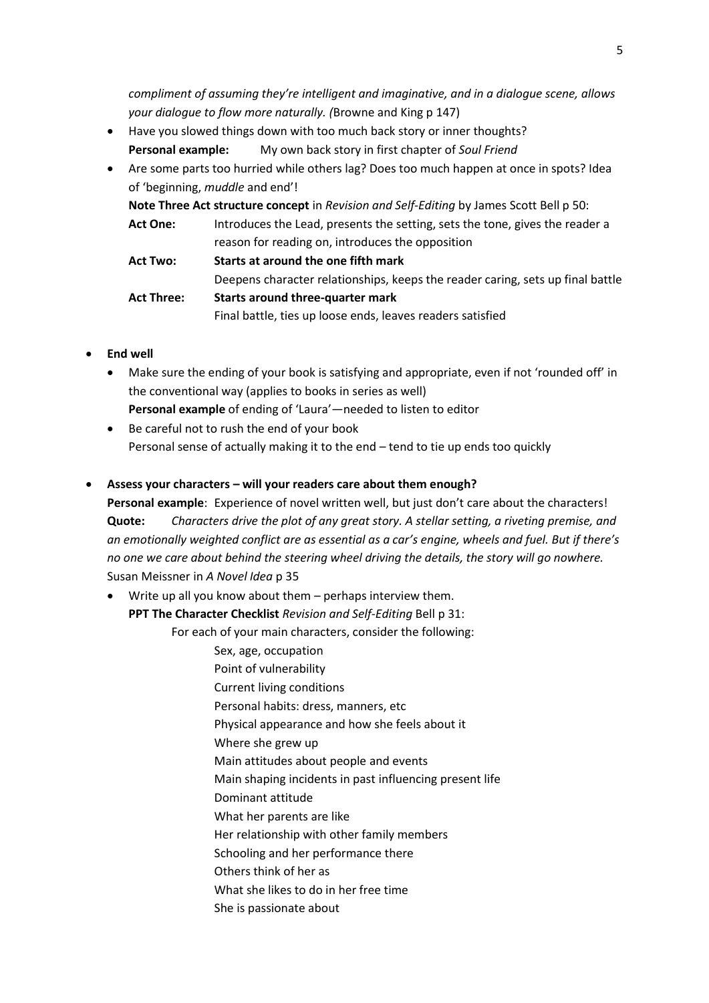*compliment of assuming they're intelligent and imaginative, and in a dialogue scene, allows your dialogue to flow more naturally. (*Browne and King p 147)

- Have you slowed things down with too much back story or inner thoughts? **Personal example:** My own back story in first chapter of *Soul Friend*
- Are some parts too hurried while others lag? Does too much happen at once in spots? Idea of 'beginning, *muddle* and end'!

**Note Three Act structure concept** in *Revision and Self-Editing* by James Scott Bell p 50:

**Act One:** Introduces the Lead, presents the setting, sets the tone, gives the reader a reason for reading on, introduces the opposition

**Act Two: Starts at around the one fifth mark** Deepens character relationships, keeps the reader caring, sets up final battle **Act Three: Starts around three-quarter mark** Final battle, ties up loose ends, leaves readers satisfied

- **End well**
	- Make sure the ending of your book is satisfying and appropriate, even if not 'rounded off' in the conventional way (applies to books in series as well) **Personal example** of ending of 'Laura'—needed to listen to editor
	- Be careful not to rush the end of your book Personal sense of actually making it to the end – tend to tie up ends too quickly

# **Assess your characters – will your readers care about them enough?**

**Personal example**: Experience of novel written well, but just don't care about the characters! **Quote:** *Characters drive the plot of any great story. A stellar setting, a riveting premise, and an emotionally weighted conflict are as essential as a car's engine, wheels and fuel. But if there's no one we care about behind the steering wheel driving the details, the story will go nowhere.* Susan Meissner in *A Novel Idea* p 35

 Write up all you know about them – perhaps interview them. **PPT The Character Checklist** *Revision and Self-Editing* Bell p 31:

For each of your main characters, consider the following:

- Sex, age, occupation
- Point of vulnerability
- Current living conditions
- Personal habits: dress, manners, etc
- Physical appearance and how she feels about it
- Where she grew up
- Main attitudes about people and events
- Main shaping incidents in past influencing present life
- Dominant attitude
- What her parents are like
- Her relationship with other family members
- Schooling and her performance there
- Others think of her as
- What she likes to do in her free time
- She is passionate about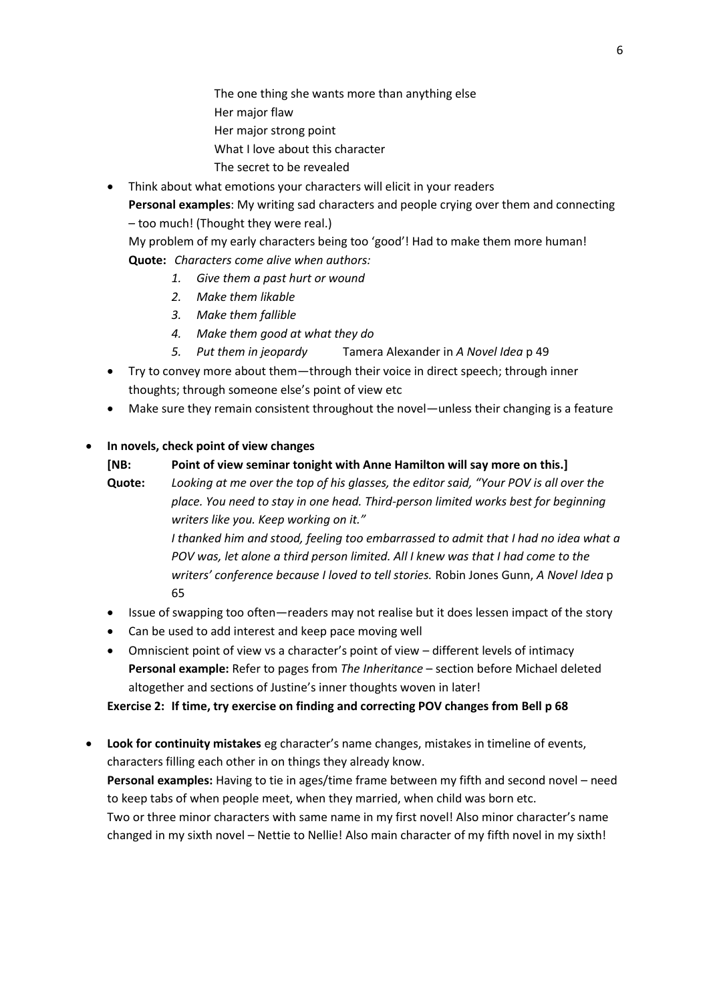The one thing she wants more than anything else Her major flaw Her major strong point What I love about this character The secret to be revealed

 Think about what emotions your characters will elicit in your readers **Personal examples**: My writing sad characters and people crying over them and connecting

– too much! (Thought they were real.)

My problem of my early characters being too 'good'! Had to make them more human! **Quote:** *Characters come alive when authors:*

- *1. Give them a past hurt or wound*
- *2. Make them likable*
- *3. Make them fallible*
- *4. Make them good at what they do*
- *5. Put them in jeopardy* Tamera Alexander in *A Novel Idea* p 49
- Try to convey more about them—through their voice in direct speech; through inner thoughts; through someone else's point of view etc
- Make sure they remain consistent throughout the novel—unless their changing is a feature

# **In novels, check point of view changes**

# **[NB: Point of view seminar tonight with Anne Hamilton will say more on this.]**

**Quote:** *Looking at me over the top of his glasses, the editor said, "Your POV is all over the place. You need to stay in one head. Third-person limited works best for beginning writers like you. Keep working on it."*

> *I thanked him and stood, feeling too embarrassed to admit that I had no idea what a POV was, let alone a third person limited. All I knew was that I had come to the writers' conference because I loved to tell stories.* Robin Jones Gunn, *A Novel Idea* p 65

- Issue of swapping too often—readers may not realise but it does lessen impact of the story
- Can be used to add interest and keep pace moving well
- Omniscient point of view vs a character's point of view different levels of intimacy **Personal example:** Refer to pages from *The Inheritance* – section before Michael deleted altogether and sections of Justine's inner thoughts woven in later!

# **Exercise 2: If time, try exercise on finding and correcting POV changes from Bell p 68**

 **Look for continuity mistakes** eg character's name changes, mistakes in timeline of events, characters filling each other in on things they already know. **Personal examples:** Having to tie in ages/time frame between my fifth and second novel – need

to keep tabs of when people meet, when they married, when child was born etc.

Two or three minor characters with same name in my first novel! Also minor character's name changed in my sixth novel – Nettie to Nellie! Also main character of my fifth novel in my sixth!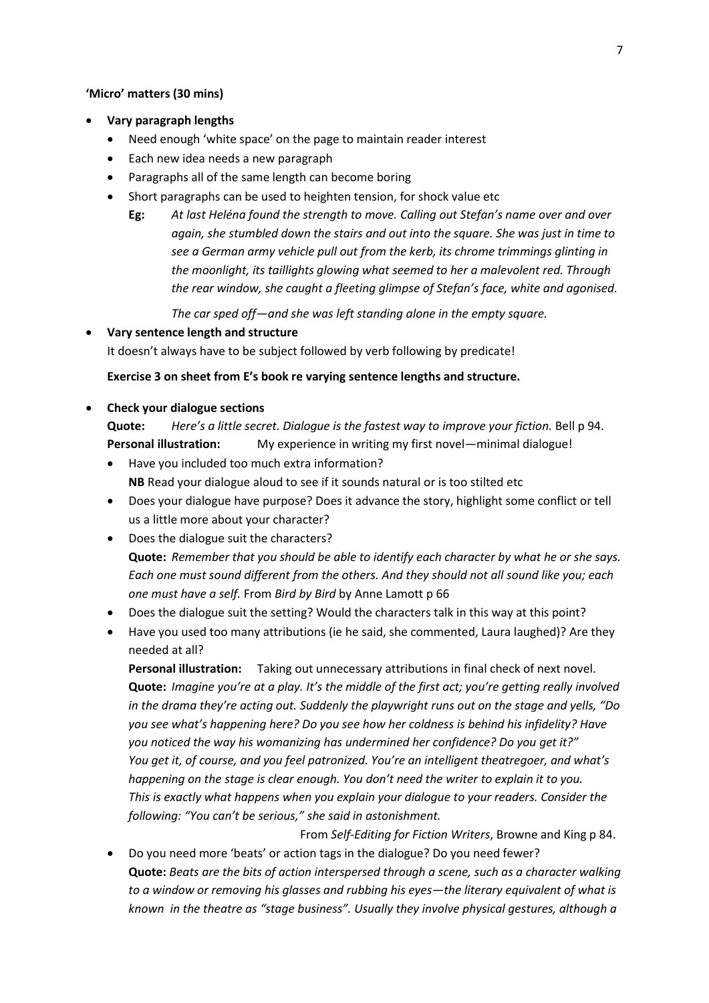#### **'Micro' matters (30 mins)**

- **Vary paragraph lengths**
	- Need enough 'white space' on the page to maintain reader interest
	- Each new idea needs a new paragraph
	- Paragraphs all of the same length can become boring
	- Short paragraphs can be used to heighten tension, for shock value etc
		- **Eg:** *At last Heléna found the strength to move. Calling out Stefan's name over and over again, she stumbled down the stairs and out into the square. She was just in time to see a German army vehicle pull out from the kerb, its chrome trimmings glinting in the moonlight, its taillights glowing what seemed to her a malevolent red. Through the rear window, she caught a fleeting glimpse of Stefan's face, white and agonised.*

*The car sped off—and she was left standing alone in the empty square.*

**Vary sentence length and structure**

It doesn't always have to be subject followed by verb following by predicate!

#### **Exercise 3 on sheet from E's book re varying sentence lengths and structure.**

**Check your dialogue sections**

**Quote:** *Here's a little secret. Dialogue is the fastest way to improve your fiction.* Bell p 94. **Personal illustration:** My experience in writing my first novel—minimal dialogue!

- Have you included too much extra information? **NB** Read your dialogue aloud to see if it sounds natural or is too stilted etc
- Does your dialogue have purpose? Does it advance the story, highlight some conflict or tell us a little more about your character?
- Does the dialogue suit the characters? **Quote:** *Remember that you should be able to identify each character by what he or she says. Each one must sound different from the others. And they should not all sound like you; each one must have a self.* From *Bird by Bird* by Anne Lamott p 66
- Does the dialogue suit the setting? Would the characters talk in this way at this point?
- Have you used too many attributions (ie he said, she commented, Laura laughed)? Are they needed at all?

**Personal illustration:** Taking out unnecessary attributions in final check of next novel. **Quote:** *Imagine you're at a play. It's the middle of the first act; you're getting really involved in the drama they're acting out. Suddenly the playwright runs out on the stage and yells, "Do you see what's happening here? Do you see how her coldness is behind his infidelity? Have you noticed the way his womanizing has undermined her confidence? Do you get it?" You get it, of course, and you feel patronized. You're an intelligent theatregoer, and what's happening on the stage is clear enough. You don't need the writer to explain it to you. This is exactly what happens when you explain your dialogue to your readers. Consider the following: "You can't be serious," she said in astonishment.* 

From *Self-Editing for Fiction Writers*, Browne and King p 84. Do you need more 'beats' or action tags in the dialogue? Do you need fewer?

**Quote:** *Beats are the bits of action interspersed through a scene, such as a character walking to a window or removing his glasses and rubbing his eyes—the literary equivalent of what is known in the theatre as "stage business". Usually they involve physical gestures, although a*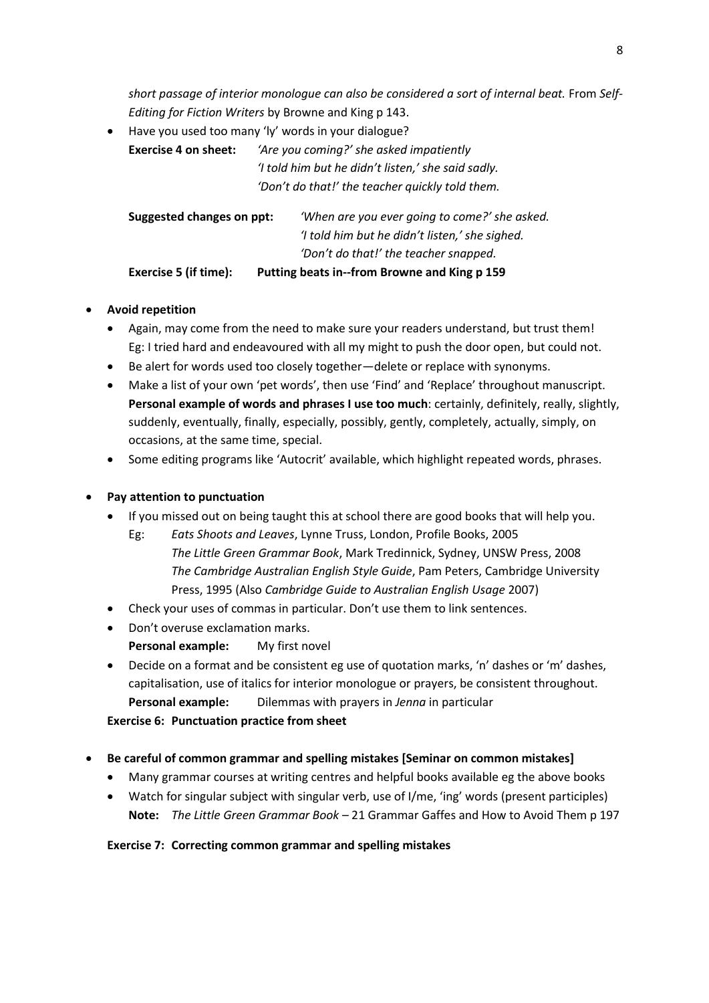short passage of interior monologue can also be considered a sort of internal beat. From Self-*Editing for Fiction Writers* by Browne and King p 143.

 Have you used too many 'ly' words in your dialogue? **Exercise 4 on sheet:** *'Are you coming?' she asked impatiently 'I told him but he didn't listen,' she said sadly. 'Don't do that!' the teacher quickly told them.*

| Exercise 5 (if time):     | Putting beats in--from Browne and King p 159   |
|---------------------------|------------------------------------------------|
|                           | 'Don't do that!' the teacher snapped.          |
|                           | 'I told him but he didn't listen,' she sighed. |
| Suggested changes on ppt: | 'When are you ever going to come?' she asked.  |

# **Avoid repetition**

- Again, may come from the need to make sure your readers understand, but trust them! Eg: I tried hard and endeavoured with all my might to push the door open, but could not.
- Be alert for words used too closely together—delete or replace with synonyms.
- Make a list of your own 'pet words', then use 'Find' and 'Replace' throughout manuscript. **Personal example of words and phrases I use too much**: certainly, definitely, really, slightly, suddenly, eventually, finally, especially, possibly, gently, completely, actually, simply, on occasions, at the same time, special.
- Some editing programs like 'Autocrit' available, which highlight repeated words, phrases.

# **Pay attention to punctuation**

- If you missed out on being taught this at school there are good books that will help you.
	- Eg: *Eats Shoots and Leaves*, Lynne Truss, London, Profile Books, 2005 *The Little Green Grammar Book*, Mark Tredinnick, Sydney, UNSW Press, 2008 *The Cambridge Australian English Style Guide*, Pam Peters, Cambridge University Press, 1995 (Also *Cambridge Guide to Australian English Usage* 2007)
- Check your uses of commas in particular. Don't use them to link sentences.
- Don't overuse exclamation marks. **Personal example:** My first novel
- Decide on a format and be consistent eg use of quotation marks, 'n' dashes or 'm' dashes, capitalisation, use of italics for interior monologue or prayers, be consistent throughout. **Personal example:** Dilemmas with prayers in *Jenna* in particular

**Exercise 6: Punctuation practice from sheet**

- **Be careful of common grammar and spelling mistakes [Seminar on common mistakes]**
	- Many grammar courses at writing centres and helpful books available eg the above books
	- Watch for singular subject with singular verb, use of I/me, 'ing' words (present participles) **Note:** *The Little Green Grammar Book* – 21 Grammar Gaffes and How to Avoid Them p 197

# **Exercise 7: Correcting common grammar and spelling mistakes**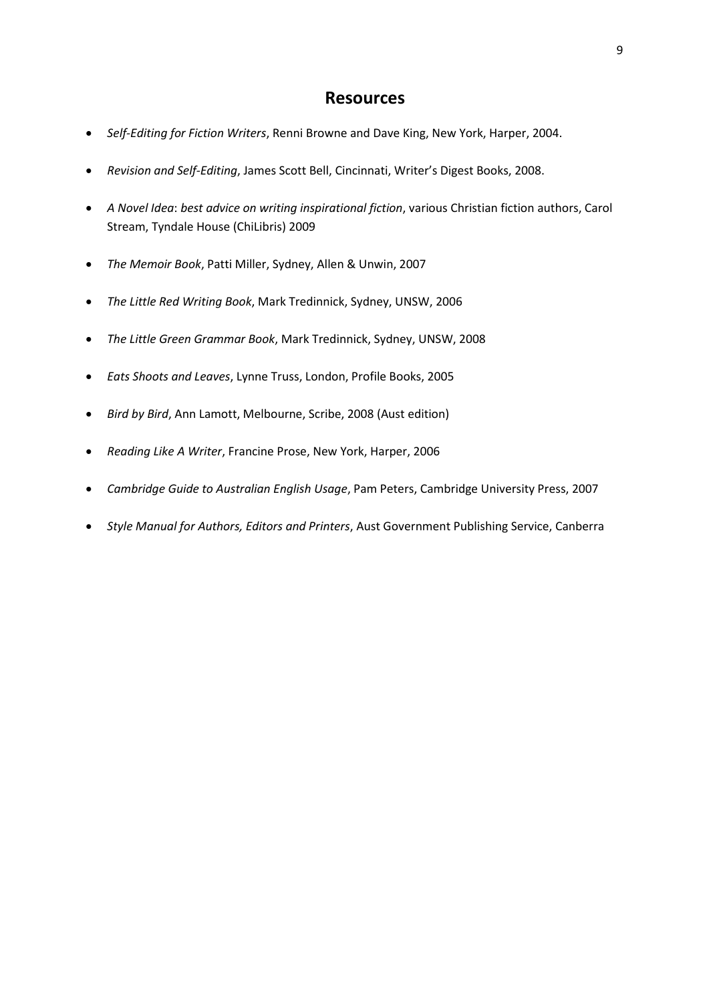# **Resources**

- *Self-Editing for Fiction Writers*, Renni Browne and Dave King, New York, Harper, 2004.
- *Revision and Self-Editing*, James Scott Bell, Cincinnati, Writer's Digest Books, 2008.
- *A Novel Idea*: *best advice on writing inspirational fiction*, various Christian fiction authors, Carol Stream, Tyndale House (ChiLibris) 2009
- *The Memoir Book*, Patti Miller, Sydney, Allen & Unwin, 2007
- *The Little Red Writing Book*, Mark Tredinnick, Sydney, UNSW, 2006
- *The Little Green Grammar Book*, Mark Tredinnick, Sydney, UNSW, 2008
- *Eats Shoots and Leaves*, Lynne Truss, London, Profile Books, 2005
- *Bird by Bird*, Ann Lamott, Melbourne, Scribe, 2008 (Aust edition)
- *Reading Like A Writer*, Francine Prose, New York, Harper, 2006
- *Cambridge Guide to Australian English Usage*, Pam Peters, Cambridge University Press, 2007
- *Style Manual for Authors, Editors and Printers*, Aust Government Publishing Service, Canberra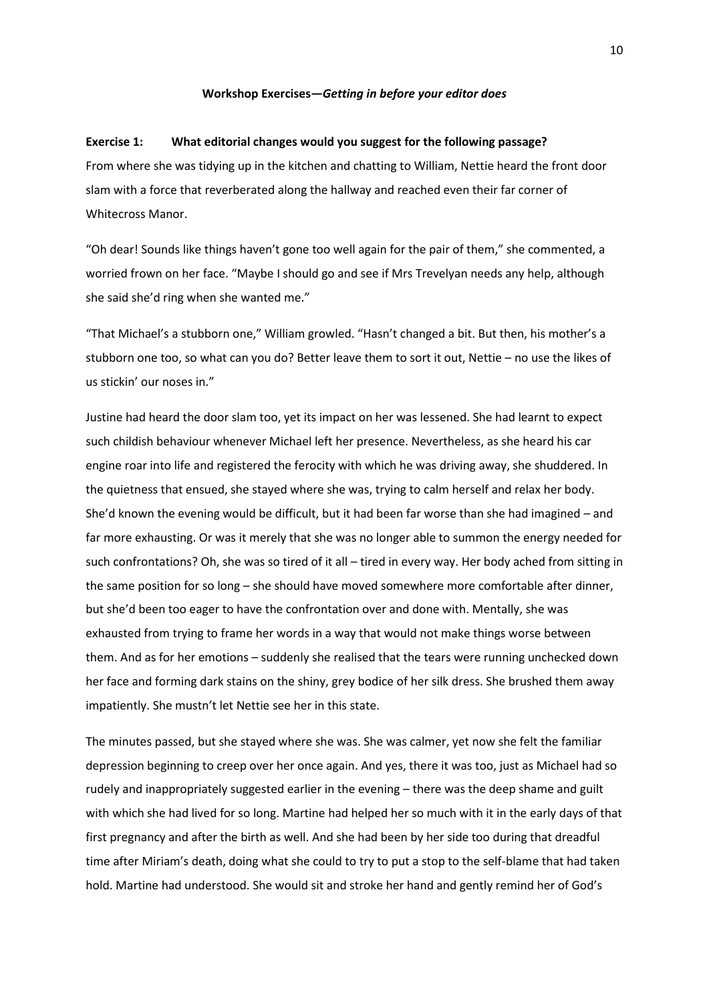#### **Workshop Exercises—***Getting in before your editor does*

#### **Exercise 1: What editorial changes would you suggest for the following passage?**

From where she was tidying up in the kitchen and chatting to William, Nettie heard the front door slam with a force that reverberated along the hallway and reached even their far corner of Whitecross Manor.

"Oh dear! Sounds like things haven't gone too well again for the pair of them," she commented, a worried frown on her face. "Maybe I should go and see if Mrs Trevelyan needs any help, although she said she'd ring when she wanted me."

"That Michael's a stubborn one," William growled. "Hasn't changed a bit. But then, his mother's a stubborn one too, so what can you do? Better leave them to sort it out, Nettie – no use the likes of us stickin' our noses in."

Justine had heard the door slam too, yet its impact on her was lessened. She had learnt to expect such childish behaviour whenever Michael left her presence. Nevertheless, as she heard his car engine roar into life and registered the ferocity with which he was driving away, she shuddered. In the quietness that ensued, she stayed where she was, trying to calm herself and relax her body. She'd known the evening would be difficult, but it had been far worse than she had imagined – and far more exhausting. Or was it merely that she was no longer able to summon the energy needed for such confrontations? Oh, she was so tired of it all – tired in every way. Her body ached from sitting in the same position for so long – she should have moved somewhere more comfortable after dinner, but she'd been too eager to have the confrontation over and done with. Mentally, she was exhausted from trying to frame her words in a way that would not make things worse between them. And as for her emotions – suddenly she realised that the tears were running unchecked down her face and forming dark stains on the shiny, grey bodice of her silk dress. She brushed them away impatiently. She mustn't let Nettie see her in this state.

The minutes passed, but she stayed where she was. She was calmer, yet now she felt the familiar depression beginning to creep over her once again. And yes, there it was too, just as Michael had so rudely and inappropriately suggested earlier in the evening – there was the deep shame and guilt with which she had lived for so long. Martine had helped her so much with it in the early days of that first pregnancy and after the birth as well. And she had been by her side too during that dreadful time after Miriam's death, doing what she could to try to put a stop to the self-blame that had taken hold. Martine had understood. She would sit and stroke her hand and gently remind her of God's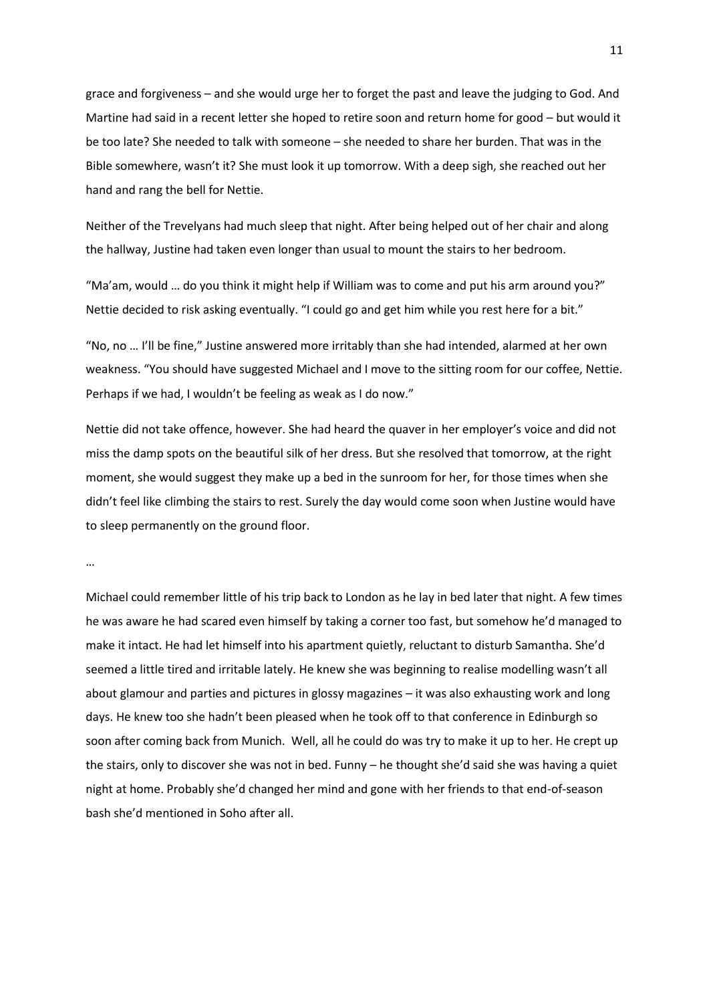grace and forgiveness – and she would urge her to forget the past and leave the judging to God. And Martine had said in a recent letter she hoped to retire soon and return home for good – but would it be too late? She needed to talk with someone – she needed to share her burden. That was in the Bible somewhere, wasn't it? She must look it up tomorrow. With a deep sigh, she reached out her hand and rang the bell for Nettie.

Neither of the Trevelyans had much sleep that night. After being helped out of her chair and along the hallway, Justine had taken even longer than usual to mount the stairs to her bedroom.

"Ma'am, would … do you think it might help if William was to come and put his arm around you?" Nettie decided to risk asking eventually. "I could go and get him while you rest here for a bit."

"No, no … I'll be fine," Justine answered more irritably than she had intended, alarmed at her own weakness. "You should have suggested Michael and I move to the sitting room for our coffee, Nettie. Perhaps if we had, I wouldn't be feeling as weak as I do now."

Nettie did not take offence, however. She had heard the quaver in her employer's voice and did not miss the damp spots on the beautiful silk of her dress. But she resolved that tomorrow, at the right moment, she would suggest they make up a bed in the sunroom for her, for those times when she didn't feel like climbing the stairs to rest. Surely the day would come soon when Justine would have to sleep permanently on the ground floor.

…

Michael could remember little of his trip back to London as he lay in bed later that night. A few times he was aware he had scared even himself by taking a corner too fast, but somehow he'd managed to make it intact. He had let himself into his apartment quietly, reluctant to disturb Samantha. She'd seemed a little tired and irritable lately. He knew she was beginning to realise modelling wasn't all about glamour and parties and pictures in glossy magazines – it was also exhausting work and long days. He knew too she hadn't been pleased when he took off to that conference in Edinburgh so soon after coming back from Munich. Well, all he could do was try to make it up to her. He crept up the stairs, only to discover she was not in bed. Funny – he thought she'd said she was having a quiet night at home. Probably she'd changed her mind and gone with her friends to that end-of-season bash she'd mentioned in Soho after all.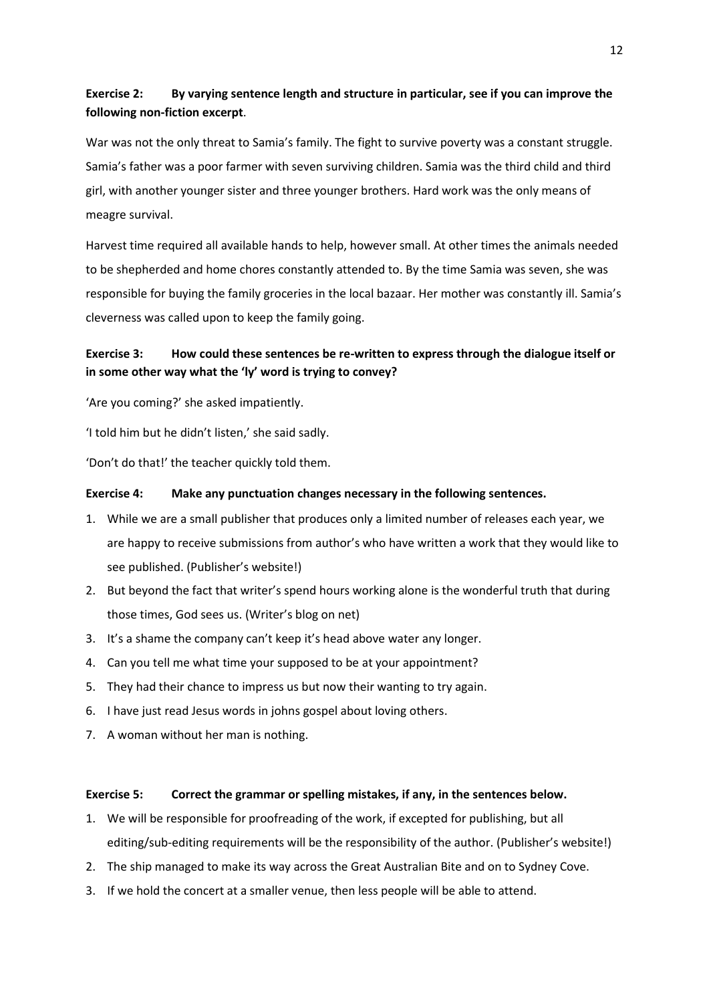# **Exercise 2: By varying sentence length and structure in particular, see if you can improve the following non-fiction excerpt**.

War was not the only threat to Samia's family. The fight to survive poverty was a constant struggle. Samia's father was a poor farmer with seven surviving children. Samia was the third child and third girl, with another younger sister and three younger brothers. Hard work was the only means of meagre survival.

Harvest time required all available hands to help, however small. At other times the animals needed to be shepherded and home chores constantly attended to. By the time Samia was seven, she was responsible for buying the family groceries in the local bazaar. Her mother was constantly ill. Samia's cleverness was called upon to keep the family going.

# **Exercise 3: How could these sentences be re-written to express through the dialogue itself or in some other way what the 'ly' word is trying to convey?**

'Are you coming?' she asked impatiently.

'I told him but he didn't listen,' she said sadly.

'Don't do that!' the teacher quickly told them.

# **Exercise 4: Make any punctuation changes necessary in the following sentences.**

- 1. While we are a small publisher that produces only a limited number of releases each year, we are happy to receive submissions from author's who have written a work that they would like to see published. (Publisher's website!)
- 2. But beyond the fact that writer's spend hours working alone is the wonderful truth that during those times, God sees us. (Writer's blog on net)
- 3. It's a shame the company can't keep it's head above water any longer.
- 4. Can you tell me what time your supposed to be at your appointment?
- 5. They had their chance to impress us but now their wanting to try again.
- 6. I have just read Jesus words in johns gospel about loving others.
- 7. A woman without her man is nothing.

## **Exercise 5: Correct the grammar or spelling mistakes, if any, in the sentences below.**

- 1. We will be responsible for proofreading of the work, if excepted for publishing, but all editing/sub-editing requirements will be the responsibility of the author. (Publisher's website!)
- 2. The ship managed to make its way across the Great Australian Bite and on to Sydney Cove.
- 3. If we hold the concert at a smaller venue, then less people will be able to attend.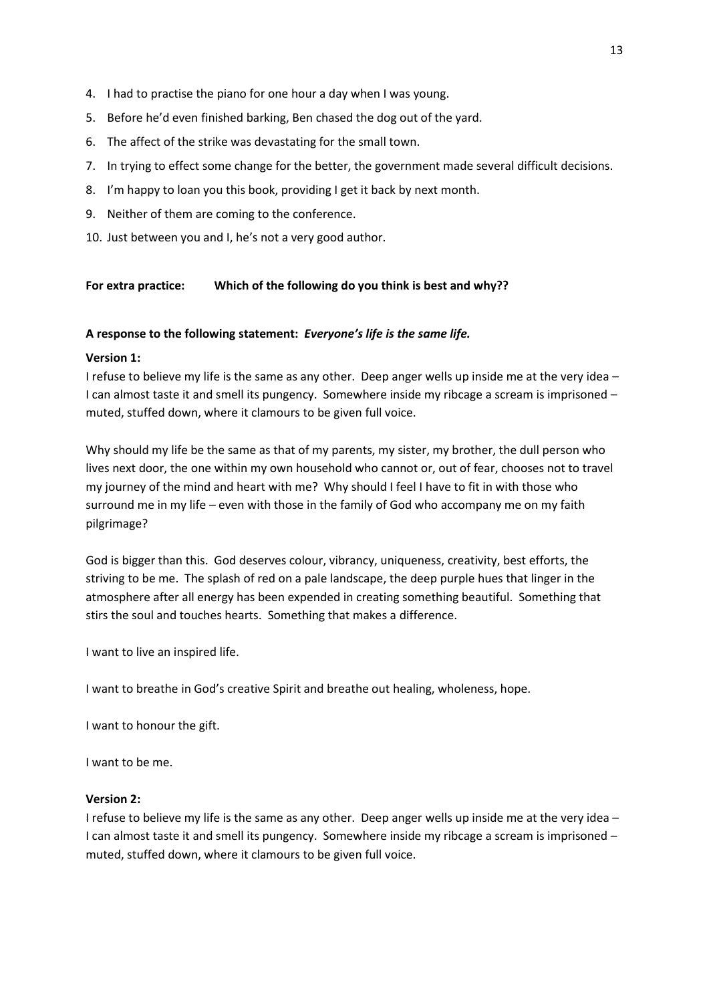- 4. I had to practise the piano for one hour a day when I was young.
- 5. Before he'd even finished barking, Ben chased the dog out of the yard.
- 6. The affect of the strike was devastating for the small town.
- 7. In trying to effect some change for the better, the government made several difficult decisions.
- 8. I'm happy to loan you this book, providing I get it back by next month.
- 9. Neither of them are coming to the conference.
- 10. Just between you and I, he's not a very good author.

# **For extra practice: Which of the following do you think is best and why??**

## **A response to the following statement:** *Everyone's life is the same life.*

### **Version 1:**

I refuse to believe my life is the same as any other. Deep anger wells up inside me at the very idea – I can almost taste it and smell its pungency. Somewhere inside my ribcage a scream is imprisoned – muted, stuffed down, where it clamours to be given full voice.

Why should my life be the same as that of my parents, my sister, my brother, the dull person who lives next door, the one within my own household who cannot or, out of fear, chooses not to travel my journey of the mind and heart with me? Why should I feel I have to fit in with those who surround me in my life – even with those in the family of God who accompany me on my faith pilgrimage?

God is bigger than this. God deserves colour, vibrancy, uniqueness, creativity, best efforts, the striving to be me. The splash of red on a pale landscape, the deep purple hues that linger in the atmosphere after all energy has been expended in creating something beautiful. Something that stirs the soul and touches hearts. Something that makes a difference.

I want to live an inspired life.

I want to breathe in God's creative Spirit and breathe out healing, wholeness, hope.

I want to honour the gift.

I want to be me.

#### **Version 2:**

I refuse to believe my life is the same as any other. Deep anger wells up inside me at the very idea – I can almost taste it and smell its pungency. Somewhere inside my ribcage a scream is imprisoned – muted, stuffed down, where it clamours to be given full voice.